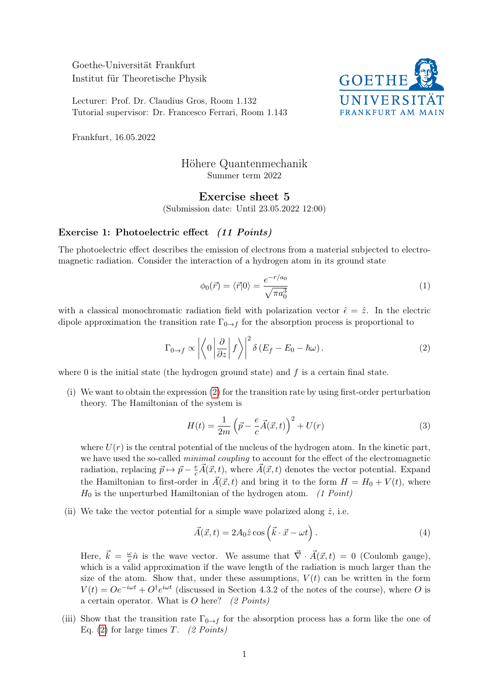Goethe-Universität Frankfurt Institut für Theoretische Physik

Lecturer: Prof. Dr. Claudius Gros, Room 1.132 Tutorial supervisor: Dr. Francesco Ferrari, Room 1.143



Frankfurt, 16.05.2022

## Höhere Quantenmechanik Summer term 2022

## Exercise sheet 5

(Submission date: Until 23.05.2022 12:00)

## Exercise 1: Photoelectric effect (11 Points)

The photoelectric effect describes the emission of electrons from a material subjected to electromagnetic radiation. Consider the interaction of a hydrogen atom in its ground state

<span id="page-0-0"></span>
$$
\phi_0(\vec{r}) = \langle \vec{r} | 0 \rangle = \frac{e^{-r/a_0}}{\sqrt{\pi a_0^3}} \tag{1}
$$

with a classical monochromatic radiation field with polarization vector  $\hat{\epsilon} = \hat{z}$ . In the electric dipole approximation the transition rate  $\Gamma_{0\to f}$  for the absorption process is proportional to

$$
\Gamma_{0\to f} \propto \left| \left\langle 0 \left| \frac{\partial}{\partial z} \right| f \right\rangle \right|^2 \delta \left( E_f - E_0 - \hbar \omega \right). \tag{2}
$$

where 0 is the initial state (the hydrogen ground state) and  $f$  is a certain final state.

(i) We want to obtain the expression [\(2\)](#page-0-0) for the transition rate by using first-order perturbation theory. The Hamiltonian of the system is

$$
H(t) = \frac{1}{2m} \left(\vec{p} - \frac{e}{c}\vec{A}(\vec{x}, t)\right)^2 + U(r)
$$
\n(3)

where  $U(r)$  is the central potential of the nucleus of the hydrogen atom. In the kinetic part, we have used the so-called *minimal coupling* to account for the effect of the electromagnetic radiation, replacing  $\vec{p} \mapsto \vec{p} - \frac{e}{c}\vec{A}(\vec{x}, t)$ , where  $\vec{A}(\vec{x}, t)$  denotes the vector potential. Expand the Hamiltonian to first-order in  $\vec{A}(\vec{x}, t)$  and bring it to the form  $H = H_0 + V(t)$ , where  $H_0$  is the unperturbed Hamiltonian of the hydrogen atom. (1 Point)

(ii) We take the vector potential for a simple wave polarized along  $\hat{z}$ , i.e.

$$
\vec{A}(\vec{x},t) = 2A_0 \hat{z} \cos\left(\vec{k} \cdot \vec{x} - \omega t\right).
$$
\n(4)

Here,  $\vec{k} = \frac{\omega}{c}$  $\frac{\partial}{\partial c}\hat{n}$  is the wave vector. We assume that  $\vec{\nabla} \cdot \vec{A}(\vec{x}, t) = 0$  (Coulomb gauge), which is a valid approximation if the wave length of the radiation is much larger than the size of the atom. Show that, under these assumptions,  $V(t)$  can be written in the form  $V(t) = Oe^{-i\omega t} + O^{\dagger}e^{i\omega t}$  (discussed in Section 4.3.2 of the notes of the course), where O is a certain operator. What is  $O$  here? (2 Points)

(iii) Show that the transition rate  $\Gamma_{0\to f}$  for the absorption process has a form like the one of Eq. [\(2\)](#page-0-0) for large times T. (2 Points)